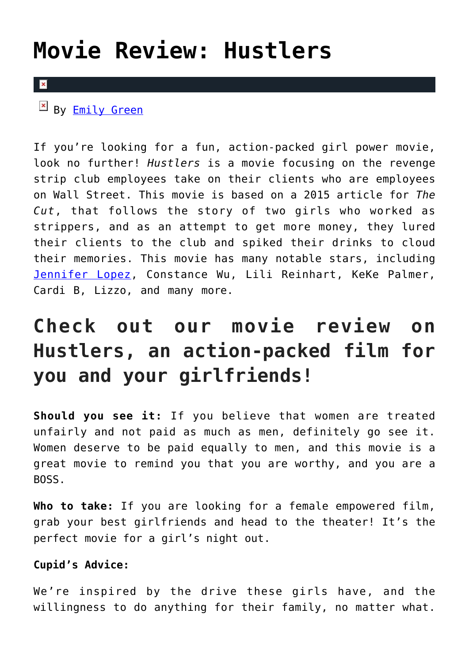## **[Movie Review: Hustlers](https://cupidspulse.com/132352/movie-review-hustlers/)**

## $\overline{\mathbf{x}}$

By **Emily Green** 

If you're looking for a fun, action-packed girl power movie, look no further! *Hustlers* is a movie focusing on the revenge strip club employees take on their clients who are employees on Wall Street. This movie is based on a 2015 article for *The Cut*, that follows the story of two girls who worked as strippers, and as an attempt to get more money, they lured their clients to the club and spiked their drinks to cloud their memories. This movie has many notable stars, including [Jennifer Lopez](http://cupidspulse.com/86083/jennifer-lopez/), Constance Wu, Lili Reinhart, KeKe Palmer, Cardi B, Lizzo, and many more.

## **Check out our movie review on Hustlers, an action-packed film for you and your girlfriends!**

**Should you see it:** If you believe that women are treated unfairly and not paid as much as men, definitely go see it. Women deserve to be paid equally to men, and this movie is a great movie to remind you that you are worthy, and you are a BOSS.

**Who to take:** If you are looking for a female empowered film, grab your best girlfriends and head to the theater! It's the perfect movie for a girl's night out.

## **Cupid's Advice:**

We're inspired by the drive these girls have, and the willingness to do anything for their family, no matter what.